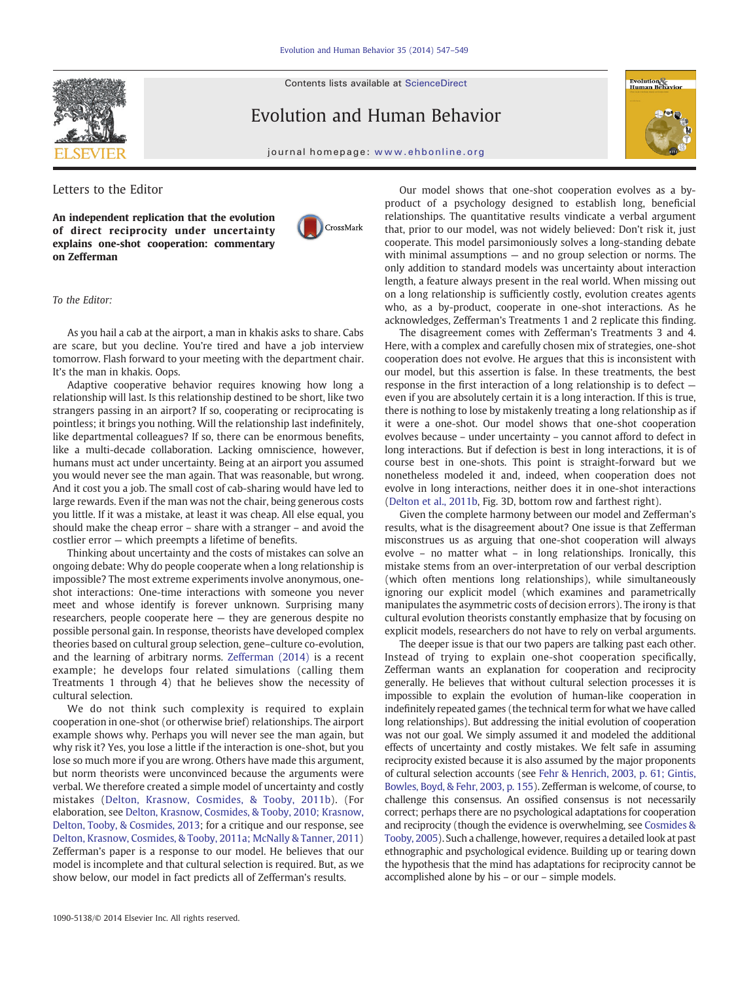Contents lists available at ScienceDirect

## Evolution and Human Behavior



journal homepage: www.ehbonline.org

Letters to the Editor

An independent replication that the evolution of direct reciprocity under uncertainty explains one-shot cooperation: commentary on Zefferman



## To the Editor:

As you hail a cab at the airport, a man in khakis asks to share. Cabs are scare, but you decline. You're tired and have a job interview tomorrow. Flash forward to your meeting with the department chair. It's the man in khakis. Oops.

Adaptive cooperative behavior requires knowing how long a relationship will last. Is this relationship destined to be short, like two strangers passing in an airport? If so, cooperating or reciprocating is pointless; it brings you nothing. Will the relationship last indefinitely, like departmental colleagues? If so, there can be enormous benefits, like a multi-decade collaboration. Lacking omniscience, however, humans must act under uncertainty. Being at an airport you assumed you would never see the man again. That was reasonable, but wrong. And it cost you a job. The small cost of cab-sharing would have led to large rewards. Even if the man was not the chair, being generous costs you little. If it was a mistake, at least it was cheap. All else equal, you should make the cheap error – share with a stranger – and avoid the costlier error — which preempts a lifetime of benefits.

Thinking about uncertainty and the costs of mistakes can solve an ongoing debate: Why do people cooperate when a long relationship is impossible? The most extreme experiments involve anonymous, oneshot interactions: One-time interactions with someone you never meet and whose identify is forever unknown. Surprising many researchers, people cooperate here — they are generous despite no possible personal gain. In response, theorists have developed complex theories based on cultural group selection, gene–culture co-evolution, and the learning of arbitrary norms. Zefferman (2014) is a recent example; he develops four related simulations (calling them Treatments 1 through 4) that he believes show the necessity of cultural selection.

We do not think such complexity is required to explain cooperation in one-shot (or otherwise brief) relationships. The airport example shows why. Perhaps you will never see the man again, but why risk it? Yes, you lose a little if the interaction is one-shot, but you lose so much more if you are wrong. Others have made this argument, but norm theorists were unconvinced because the arguments were verbal. We therefore created a simple model of uncertainty and costly mistakes (Delton, Krasnow, Cosmides, & Tooby, 2011b). (For elaboration, see Delton, Krasnow, Cosmides, & Tooby, 2010; Krasnow, Delton, Tooby, & Cosmides, 2013; for a critique and our response, see Delton, Krasnow, Cosmides, & Tooby, 2011a; McNally & Tanner, 2011) Zefferman's paper is a response to our model. He believes that our model is incomplete and that cultural selection is required. But, as we show below, our model in fact predicts all of Zefferman's results.

Our model shows that one-shot cooperation evolves as a byproduct of a psychology designed to establish long, beneficial relationships. The quantitative results vindicate a verbal argument that, prior to our model, was not widely believed: Don't risk it, just cooperate. This model parsimoniously solves a long-standing debate with minimal assumptions — and no group selection or norms. The only addition to standard models was uncertainty about interaction length, a feature always present in the real world. When missing out on a long relationship is sufficiently costly, evolution creates agents who, as a by-product, cooperate in one-shot interactions. As he acknowledges, Zefferman's Treatments 1 and 2 replicate this finding.

The disagreement comes with Zefferman's Treatments 3 and 4. Here, with a complex and carefully chosen mix of strategies, one-shot cooperation does not evolve. He argues that this is inconsistent with our model, but this assertion is false. In these treatments, the best response in the first interaction of a long relationship is to defect even if you are absolutely certain it is a long interaction. If this is true, there is nothing to lose by mistakenly treating a long relationship as if it were a one-shot. Our model shows that one-shot cooperation evolves because – under uncertainty – you cannot afford to defect in long interactions. But if defection is best in long interactions, it is of course best in one-shots. This point is straight-forward but we nonetheless modeled it and, indeed, when cooperation does not evolve in long interactions, neither does it in one-shot interactions (Delton et al., 2011b, Fig. 3D, bottom row and farthest right).

Given the complete harmony between our model and Zefferman's results, what is the disagreement about? One issue is that Zefferman misconstrues us as arguing that one-shot cooperation will always evolve – no matter what – in long relationships. Ironically, this mistake stems from an over-interpretation of our verbal description (which often mentions long relationships), while simultaneously ignoring our explicit model (which examines and parametrically manipulates the asymmetric costs of decision errors). The irony is that cultural evolution theorists constantly emphasize that by focusing on explicit models, researchers do not have to rely on verbal arguments.

The deeper issue is that our two papers are talking past each other. Instead of trying to explain one-shot cooperation specifically, Zefferman wants an explanation for cooperation and reciprocity generally. He believes that without cultural selection processes it is impossible to explain the evolution of human-like cooperation in indefinitely repeated games (the technical term for what we have called long relationships). But addressing the initial evolution of cooperation was not our goal. We simply assumed it and modeled the additional effects of uncertainty and costly mistakes. We felt safe in assuming reciprocity existed because it is also assumed by the major proponents of cultural selection accounts (see Fehr & Henrich, 2003, p. 61; Gintis, Bowles, Boyd, & Fehr, 2003, p. 155). Zefferman is welcome, of course, to challenge this consensus. An ossified consensus is not necessarily correct; perhaps there are no psychological adaptations for cooperation and reciprocity (though the evidence is overwhelming, see Cosmides & Tooby, 2005). Such a challenge, however, requires a detailed look at past ethnographic and psychological evidence. Building up or tearing down the hypothesis that the mind has adaptations for reciprocity cannot be accomplished alone by his – or our – simple models.